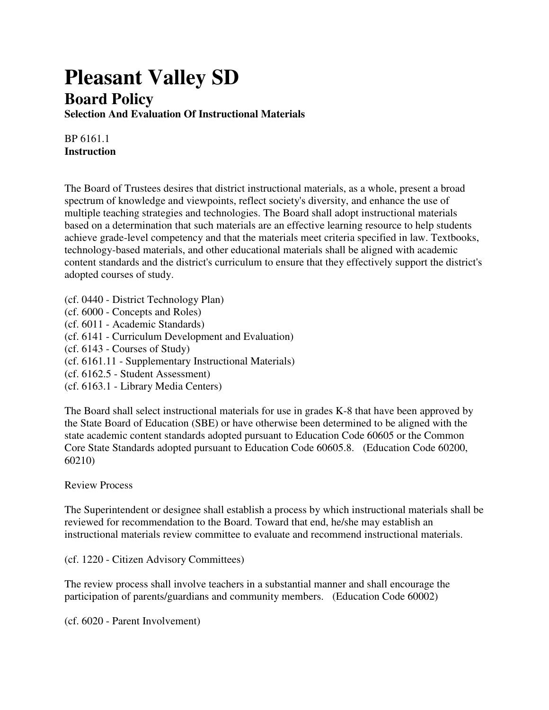## **Pleasant Valley SD Board Policy**

**Selection And Evaluation Of Instructional Materials**

BP 6161.1 **Instruction**

The Board of Trustees desires that district instructional materials, as a whole, present a broad spectrum of knowledge and viewpoints, reflect society's diversity, and enhance the use of multiple teaching strategies and technologies. The Board shall adopt instructional materials based on a determination that such materials are an effective learning resource to help students achieve grade-level competency and that the materials meet criteria specified in law. Textbooks, technology-based materials, and other educational materials shall be aligned with academic content standards and the district's curriculum to ensure that they effectively support the district's adopted courses of study.

- (cf. 0440 District Technology Plan)
- (cf. 6000 Concepts and Roles)
- (cf. 6011 Academic Standards)
- (cf. 6141 Curriculum Development and Evaluation)
- (cf. 6143 Courses of Study)
- (cf. 6161.11 Supplementary Instructional Materials)
- (cf. 6162.5 Student Assessment)
- (cf. 6163.1 Library Media Centers)

The Board shall select instructional materials for use in grades K-8 that have been approved by the State Board of Education (SBE) or have otherwise been determined to be aligned with the state academic content standards adopted pursuant to Education Code 60605 or the Common Core State Standards adopted pursuant to Education Code 60605.8. (Education Code 60200, 60210)

Review Process

The Superintendent or designee shall establish a process by which instructional materials shall be reviewed for recommendation to the Board. Toward that end, he/she may establish an instructional materials review committee to evaluate and recommend instructional materials.

(cf. 1220 - Citizen Advisory Committees)

The review process shall involve teachers in a substantial manner and shall encourage the participation of parents/guardians and community members. (Education Code 60002)

(cf. 6020 - Parent Involvement)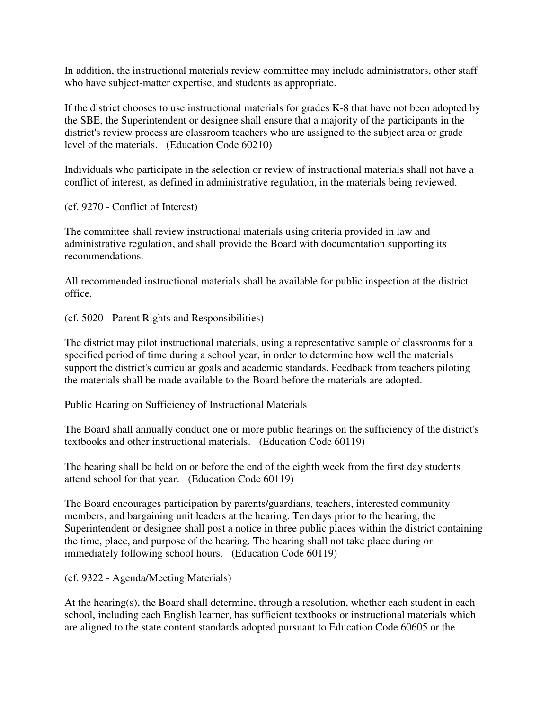In addition, the instructional materials review committee may include administrators, other staff who have subject-matter expertise, and students as appropriate.

If the district chooses to use instructional materials for grades K-8 that have not been adopted by the SBE, the Superintendent or designee shall ensure that a majority of the participants in the district's review process are classroom teachers who are assigned to the subject area or grade level of the materials. (Education Code 60210)

Individuals who participate in the selection or review of instructional materials shall not have a conflict of interest, as defined in administrative regulation, in the materials being reviewed.

(cf. 9270 - Conflict of Interest)

The committee shall review instructional materials using criteria provided in law and administrative regulation, and shall provide the Board with documentation supporting its recommendations.

All recommended instructional materials shall be available for public inspection at the district office.

(cf. 5020 - Parent Rights and Responsibilities)

The district may pilot instructional materials, using a representative sample of classrooms for a specified period of time during a school year, in order to determine how well the materials support the district's curricular goals and academic standards. Feedback from teachers piloting the materials shall be made available to the Board before the materials are adopted.

Public Hearing on Sufficiency of Instructional Materials

The Board shall annually conduct one or more public hearings on the sufficiency of the district's textbooks and other instructional materials. (Education Code 60119)

The hearing shall be held on or before the end of the eighth week from the first day students attend school for that year. (Education Code 60119)

The Board encourages participation by parents/guardians, teachers, interested community members, and bargaining unit leaders at the hearing. Ten days prior to the hearing, the Superintendent or designee shall post a notice in three public places within the district containing the time, place, and purpose of the hearing. The hearing shall not take place during or immediately following school hours. (Education Code 60119)

(cf. 9322 - Agenda/Meeting Materials)

At the hearing(s), the Board shall determine, through a resolution, whether each student in each school, including each English learner, has sufficient textbooks or instructional materials which are aligned to the state content standards adopted pursuant to Education Code 60605 or the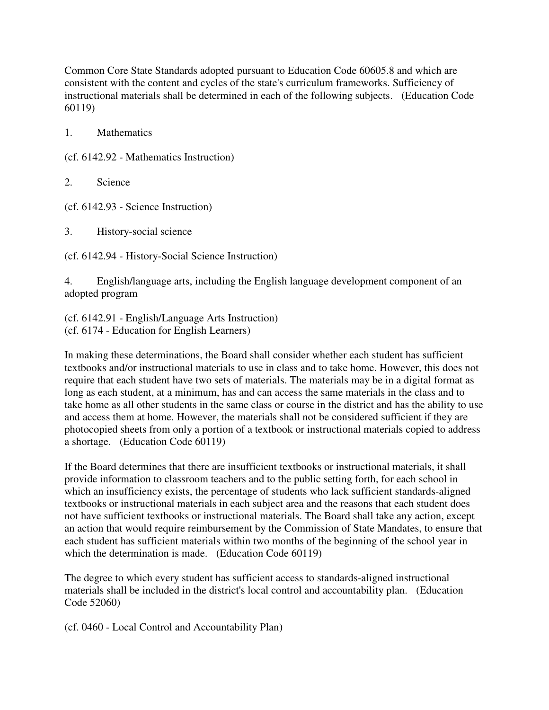Common Core State Standards adopted pursuant to Education Code 60605.8 and which are consistent with the content and cycles of the state's curriculum frameworks. Sufficiency of instructional materials shall be determined in each of the following subjects. (Education Code 60119)

1. Mathematics

(cf. 6142.92 - Mathematics Instruction)

2. Science

(cf. 6142.93 - Science Instruction)

3. History-social science

(cf. 6142.94 - History-Social Science Instruction)

4. English/language arts, including the English language development component of an adopted program

(cf. 6142.91 - English/Language Arts Instruction) (cf. 6174 - Education for English Learners)

In making these determinations, the Board shall consider whether each student has sufficient textbooks and/or instructional materials to use in class and to take home. However, this does not require that each student have two sets of materials. The materials may be in a digital format as long as each student, at a minimum, has and can access the same materials in the class and to take home as all other students in the same class or course in the district and has the ability to use and access them at home. However, the materials shall not be considered sufficient if they are photocopied sheets from only a portion of a textbook or instructional materials copied to address a shortage. (Education Code 60119)

If the Board determines that there are insufficient textbooks or instructional materials, it shall provide information to classroom teachers and to the public setting forth, for each school in which an insufficiency exists, the percentage of students who lack sufficient standards-aligned textbooks or instructional materials in each subject area and the reasons that each student does not have sufficient textbooks or instructional materials. The Board shall take any action, except an action that would require reimbursement by the Commission of State Mandates, to ensure that each student has sufficient materials within two months of the beginning of the school year in which the determination is made. (Education Code 60119)

The degree to which every student has sufficient access to standards-aligned instructional materials shall be included in the district's local control and accountability plan. (Education Code 52060)

(cf. 0460 - Local Control and Accountability Plan)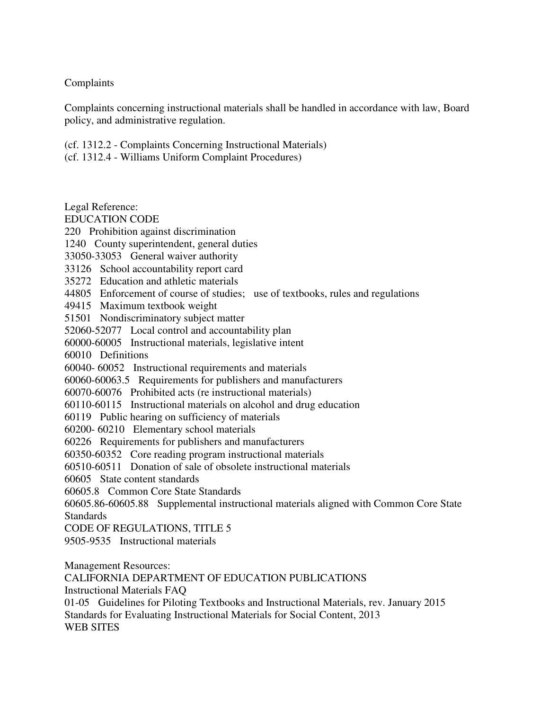## Complaints

Complaints concerning instructional materials shall be handled in accordance with law, Board policy, and administrative regulation.

- (cf. 1312.2 Complaints Concerning Instructional Materials)
- (cf. 1312.4 Williams Uniform Complaint Procedures)

Legal Reference:

EDUCATION CODE

220 Prohibition against discrimination

1240 County superintendent, general duties

33050-33053 General waiver authority

33126 School accountability report card

35272 Education and athletic materials

44805 Enforcement of course of studies; use of textbooks, rules and regulations

49415 Maximum textbook weight

51501 Nondiscriminatory subject matter

52060-52077 Local control and accountability plan

60000-60005 Instructional materials, legislative intent

60010 Definitions

60040- 60052 Instructional requirements and materials

60060-60063.5 Requirements for publishers and manufacturers

60070-60076 Prohibited acts (re instructional materials)

60110-60115 Instructional materials on alcohol and drug education

60119 Public hearing on sufficiency of materials

60200- 60210 Elementary school materials

60226 Requirements for publishers and manufacturers

60350-60352 Core reading program instructional materials

60510-60511 Donation of sale of obsolete instructional materials

60605 State content standards

60605.8 Common Core State Standards

60605.86-60605.88 Supplemental instructional materials aligned with Common Core State Standards

CODE OF REGULATIONS, TITLE 5

9505-9535 Instructional materials

Management Resources:

CALIFORNIA DEPARTMENT OF EDUCATION PUBLICATIONS

Instructional Materials FAQ

01-05 Guidelines for Piloting Textbooks and Instructional Materials, rev. January 2015 Standards for Evaluating Instructional Materials for Social Content, 2013 WEB SITES